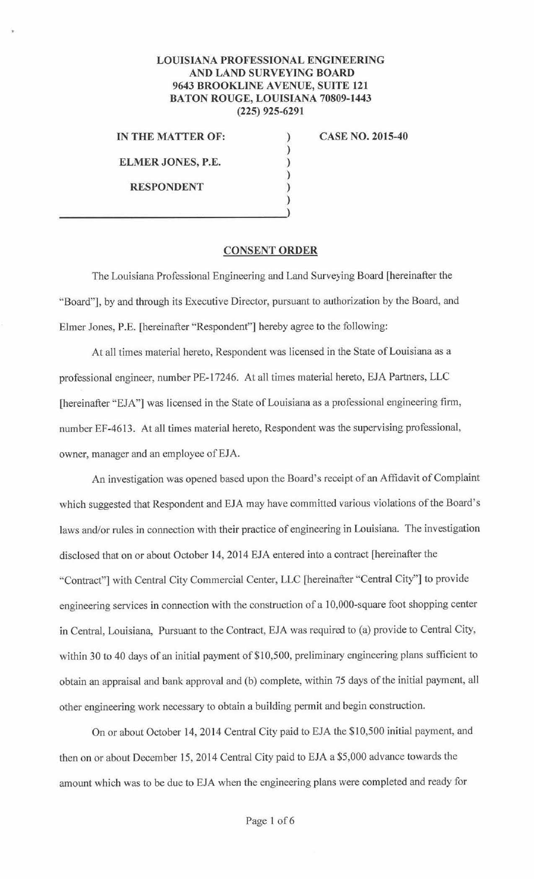## **LOUISIANA PROFESSIONAL ENGINEERING AND LAND SURVEYING BOARD 9643 BROOKLINE AVENUE, SUITE 121 BATON ROUGE, LOUISIANA 70809-1443 (225) 925-6291**

) ) ) ) )

**IN THE MATTER OF:** )

**ELMER JONES, P.E.** 

**RESPONDENT** 

**CASE NO. 2015-40** 

## **CONSENT ORDER**

The Louisiana Professional Engineering and Land Surveying Board [hereinafter the "Board"], by and through its Executive Director, pursuant to authorization by the Board, and Elmer Jones, P.E. [hereinafter "Respondent"] hereby agree to the following:

At all times material hereto, Respondent was licensed in the State of Louisiana as a professional engineer, number PE-17246. At all times material hereto, EJA Partners, LLC [hereinafter "EJA"] was licensed in the State of Louisiana as a professional engineering firm, number EF-4613. At all times material hereto, Respondent was the supervising professional, owner, manager and an employee of EJA.

An investigation was opened based upon the Board's receipt of an Affidavit of Complaint which suggested that Respondent and EJA may have committed various violations of the Board's laws and/or rules in connection with their practice of engineering in Louisiana. The investigation disclosed that on or about October 14, 2014 EJA entered into a contract [hereinafter the "Contract"] with Central City Commercial Center, LLC [hereinafter "Central City"] to provide engineering services in connection with the construction of a 10,000-square foot shopping center in Central, Louisiana, Pursuant to the Contract, EJA was required to (a) provide to Central City, within 30 to 40 days of an initial payment of \$10,500, preliminary engineering plans sufficient to obtain an appraisal and bank approval and (b) complete, within 75 days of the initial payment, all other engineering work necessary to obtain a building permit and begin construction.

On or about October 14, 2014 Central City paid to EJA the \$10,500 initial payment, and then on or about December 15, 2014 Central City paid to EJA a \$5,000 advance towards the amount which was to be due to EJA when the engineering plans were completed and ready for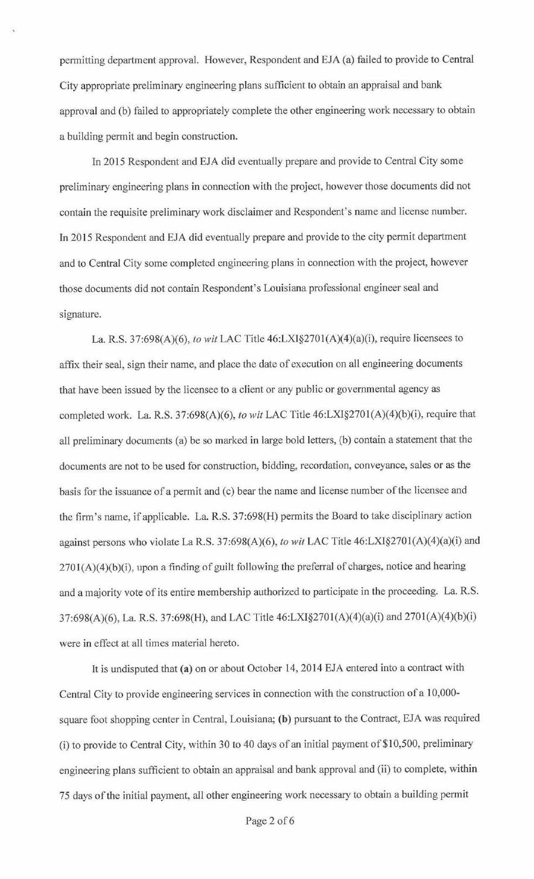permitting department approval. However, Respondent and EJA (a) failed to provide to Central City appropriate preliminary engineering plans sufficient to obtain an appraisal and bank approval and (b) failed to appropriately complete the other engineering work necessary to obtain a building permit and begin construction.

In 2015 Respondent and EJA did eventually prepare and provide to Central City some preliminary engineering plans in connection with the project, however those documents did not contain the requisite preliminary work disclaimer and Respondent's name and license number. In 2015 Respondent and EJA did eventually prepare and provide to the city permit department and to Central City some completed engineering plans in connection with the project, however those documents did not contain Respondent's Louisiana professional engineer seal and signature.

La. R.S. 37:698(A)(6), *to wit* LAC Title 46:LXI§270l(A)(4)(a)(i), require licensees to affix their seal, sign their name, and place the date of execution on all engineering documents that have been issued by the licensee to a client or any public or governmental agency as completed work. La. R.S. 37:698(A)(6), *to wit* LAC Title 46:LXI§2701(A)(4)(b)(i), require that all preliminary documents (a) be so marked in large bold letters, (b) contain a statement that the documents are not to be used for construction, bidding, recordation, conveyance, sales or as the basis for the issuance of a permit and (c) bear the name and license number of the licensee and the firm's name, if applicable. La. R.S. 37:698(H) permits the Board to take disciplinary action against persons who violate LaR.S. 37:698(A)(6), *to wit* LAC Title 46:LXI§270l(A)(4)(a)(i) and 270I(A)(4)(b)(i), upon a finding of guilt following the preferral of charges, notice and hearing and a majority vote of its entire membership authorized to participate in the proceeding. La. R.S. 37:698(A)(6), La. R.S. 37:698(H), and LAC Title 46:LXI§270l(A)(4)(a)(i) and 2701(A)(4)(b)(i) were in effect at all times material hereto.

It is undisputed that **(a)** on or about October 14, 2014 EJA entered into a contract with Central City to provide engineering services in connection with the construction of a 10,000 square foot shopping center in Central, Louisiana; **(b)** pursuant to the Contract, EJA was required (i) to provide to Central City, within 30 to 40 days of an initial payment of \$10,500, preliminary engineering plans sufficient to obtain an appraisal and bank approval and (ii) to complete, within 75 days of the initial payment, all other engineering work necessary to obtain a building permit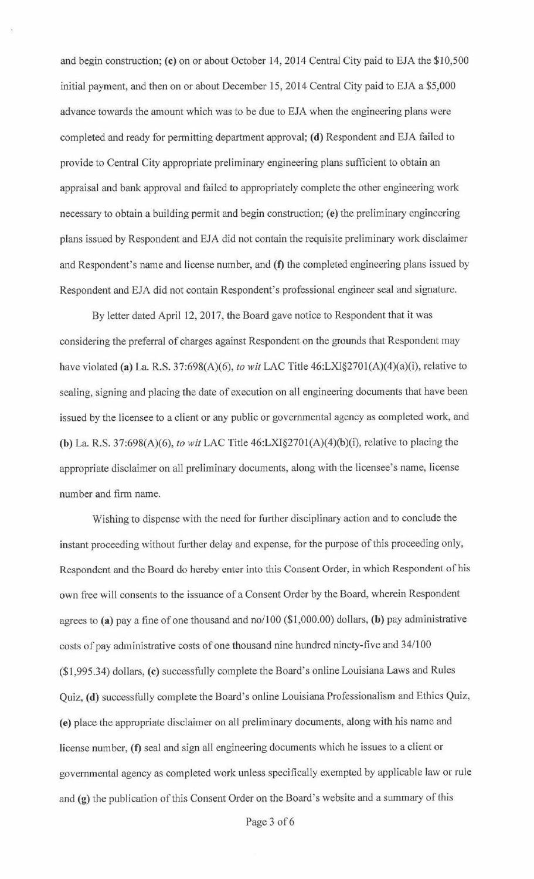and begin construction; **(c)** on or about October 14, 2014 Central City paid to EJA the \$10,500 initial payment, and then on or about December 15, 2014 Central City paid to EJA a \$5,000 advance towards the amount which was to be due to EJA when the engineering plans were completed and ready for permitting department approval; (d) Respondent and EJA failed to provide to Central City appropriate preliminary engineering plans sufficient to obtain an appraisal and bank approval and failed to appropriately complete the other engineering work necessary to obtain a building permit and begin construction; **(e)** the preliminary engineering plans issued by Respondent and EJA did not contain the requisite preliminary work disclaimer and Respondent's name and license number, and **(f)** the completed engineering plans issued by Respondent and EJA did not contain Respondent's professional engineer seal and signature.

By letter dated April 12, 2017, the Board gave notice to Respondent that it was considering the preferral of charges against Respondent on the grounds that Respondent may have violated **(a)** La. R.S. 37:698(A)(6), *to wit* LAC Title 46:LXI§270l(A)(4)(a)(i), relative to sealing, signing and placing the date of execution on all engineering documents that have been issued by the licensee to a client or any public or governmental agency as completed work, and **(b)** La. R.S. 37:698{A)(6), *to wit* LAC Title 46:LXI§270l(A)(4)(b)(i), relative to placing the appropriate disclaimer on all preliminary documents, along with the licensee's name, license number and firm name.

Wishing to dispense with the need for further disciplinary action and to conclude the instant proceeding without further delay and expense, for the purpose of this proceeding only, Respondent and the Board do hereby enter into this Consent Order, in which Respondent of his own free will consents to the issuance of a Consent Order by the Board, wherein Respondent agrees to **(a)** pay a fine of one thousand and no/100 (\$1,000.00) dollars, **(b)** pay administrative costs of pay administrative costs of one thousand nine hundred ninety-five and 34/100 (\$1,995.34) dollars, **(c)** successfully complete the Board's online Louisiana Laws and Rules Quiz, **(d)** successfully complete the Board's online Louisiana Professionalism and Ethics Quiz, **(e)** place the appropriate disclaimer on all preliminary documents, along with his name and license number, **(f)** seal and sign all engineering documents which he issues to a client or governmental agency as completed work unless specifically exempted by applicable law or rule and **(g)** the publication of this Consent Order on the Board's website and a summary of this

Page 3 of 6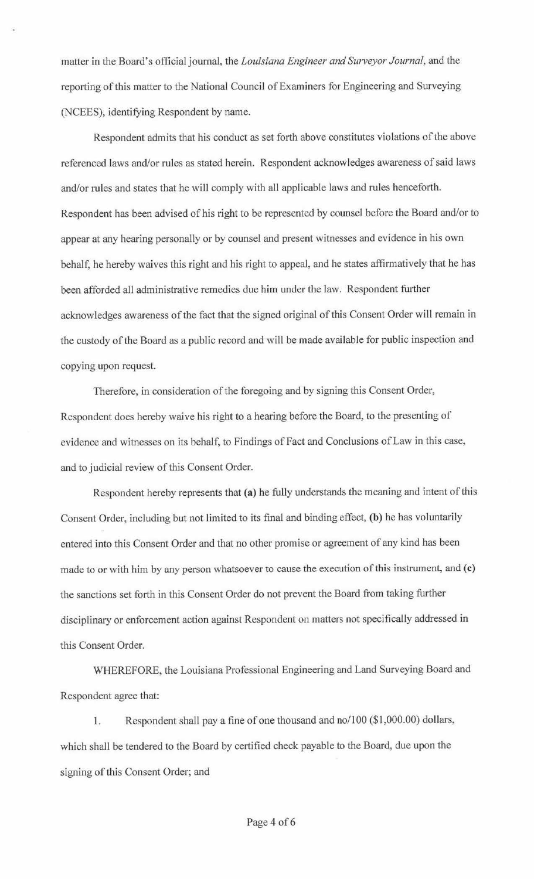matter in the Board's official journal, the *Louisiana Engineer and Surveyor Journal,* and the reporting of this matter to the National Council of Examiners for Engineering and Surveying (NCEES), identifying Respondent by name.

Respondent admits that his conduct as set forth above constitutes violations of the above referenced Jaws and/or rules as stated herein. Respondent acknowledges awareness of said laws and/or rules and states that he will comply with all applicable laws and rules henceforth. Respondent has been advised of his right to be represented by counsel before the Board and/or to appear at any hearing personally or by counsel and present witnesses and evidence in his own behalf, he hereby waives this right and his right to appeal, and he states affirmatively that he has been afforded all administrative remedies due him under the law. Respondent further acknowledges awareness of the fact that the signed original of this Consent Order will remain in the custody of the Board as a public record and will be made available for public inspection and copying upon request.

Therefore, in consideration of the foregoing and by signing this Consent Order, Respondent does hereby waive his right to a hearing before the Board, to the presenting of evidence and witnesses on its behalf, to Findings of Fact and Conclusions of Law in this case, and to judicial review of this Consent Order.

Respondent hereby represents that **(a)** he fully understands the meaning and intent of this Consent Order, including but not limited to its final and binding effect, **(b)** he has voluntarily entered into this Consent Order and that no other promise or agreement of any kind has been made to or with him by any person whatsoever to cause the execution of this instrument, and **(c)**  the sanctions set forth in this Consent Order do not prevent the Board from taking further disciplinary or enforcement action against Respondent on matters not specifically addressed in this Consent Order.

WHEREFORE, the Louisiana Professional Engineering and Land Surveying Board and Respondent agree that:

1. Respondent shall pay a fine of one thousand and no/100 (\$1,000.00) dollars, which shall be tendered *to* the Board by certified check payable to the Board, due upon the signing of this Consent Order; and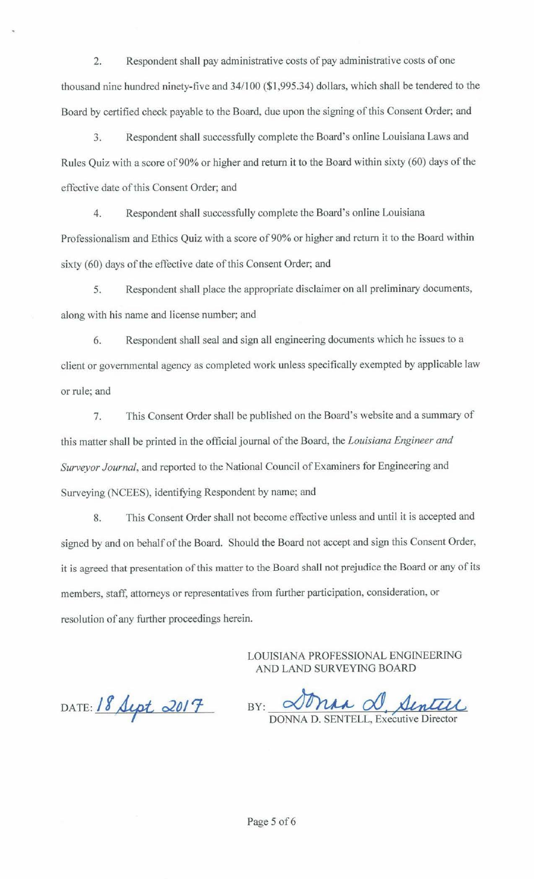2. Respondent shall pay administrative costs of pay administrative costs of one thousand nine hundred ninety-five and 34/100 (\$1 ,995.34) dollars, which shall be tendered to the Board by certified check payable to the Board, due upon the signing of this Consent Order; and

3. Respondent shall successfully complete the Board's online Louisiana Laws and Rules Quiz with a score of 90% or higher and return it to the Board within sixty (60) days of the effective date of this Consent Order; and

4. Respondent shall successfully complete the Board's online Louisiana Professionalism and Ethics Quiz with a score of 90% or higher and return it to the Board within sixty (60) days of the effective date of this Consent Order; and

5. Respondent shall place the appropriate disclaimer on all preliminary documents, along with his name and license number; and

6. Respondent shall seal and sign all engineering documents which he issues to a client or governmental agency as completed work unless specifically exempted by applicable Jaw or rule; and

7. This Consent Order shall be published on the Board's website and a summary of this matter shall be printed in the official journal of the Board, the *Louisiana Engineer and Surveyor Journal,* and reported to the National Council of Examiners for Engineering and Surveying (NCEES), identifying Respondent by name; and

8. This Consent Order shall not become effective unless and until it is accepted and signed by and on behalf of the Board. Should the Board not accept and sign this Consent Order, it is agreed that presentation of this matter to the Board shall not prejudice the Board or any of its members, staff, attorneys or representatives from further participation, consideration, or resolution of any further proceedings herein.

> LOUISIANA PROFESSIONAL ENGINEERING AND LAND SURVEYING BOARD

DATE: 18 Sept 2017

 $_{BY:}$  Dona d, Sentell DONNA D. SENTELL, Executive Dire